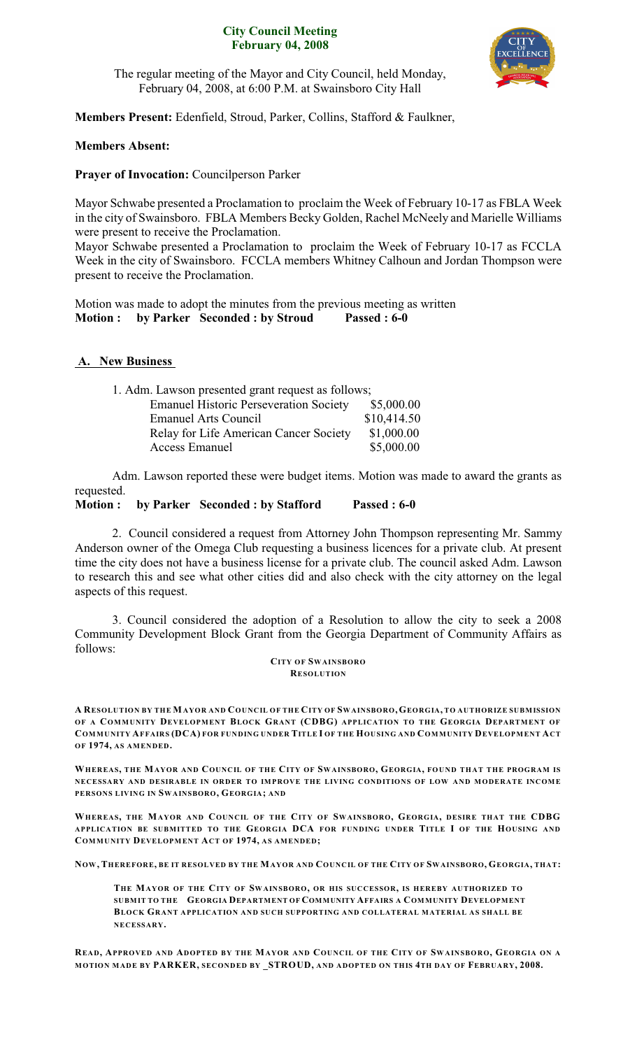### **City Council Meeting February 04, 2008**



The regular meeting of the Mayor and City Council, held Monday, February 04, 2008, at 6:00 P.M. at Swainsboro City Hall

**Members Present:** Edenfield, Stroud, Parker, Collins, Stafford & Faulkner,

## **Members Absent:**

### **Prayer of Invocation:** Councilperson Parker

Mayor Schwabe presented a Proclamation to proclaim the Week of February 10-17 as FBLA Week in the city of Swainsboro. FBLA Members Becky Golden, Rachel McNeely and Marielle Williams were present to receive the Proclamation.

Mayor Schwabe presented a Proclamation to proclaim the Week of February 10-17 as FCCLA Week in the city of Swainsboro. FCCLA members Whitney Calhoun and Jordan Thompson were present to receive the Proclamation.

Motion was made to adopt the minutes from the previous meeting as written **Motion : by Parker Seconded : by Stroud Passed : 6-0**

### **A. New Business**

| 1. Adm. Lawson presented grant request as follows; |             |  |
|----------------------------------------------------|-------------|--|
| <b>Emanuel Historic Perseveration Society</b>      | \$5,000.00  |  |
| <b>Emanuel Arts Council</b>                        | \$10,414.50 |  |
| Relay for Life American Cancer Society             | \$1,000.00  |  |
| Access Emanuel                                     | \$5,000.00  |  |

Adm. Lawson reported these were budget items. Motion was made to award the grants as requested.

**Motion : by Parker Seconded : by Stafford Passed : 6-0**

2. Council considered a request from Attorney John Thompson representing Mr. Sammy Anderson owner of the Omega Club requesting a business licences for a private club. At present time the city does not have a business license for a private club. The council asked Adm. Lawson to research this and see what other cities did and also check with the city attorney on the legal aspects of this request.

3. Council considered the adoption of a Resolution to allow the city to seek a 2008 Community Development Block Grant from the Georgia Department of Community Affairs as follows:

> **CITY OF SWAINSBORO RESOLUTION**

A RESOLUTION BY THE MAYOR AND COUNCIL OF THE CITY OF SWAINSBORO, GEORGIA, TO AUTHORIZE SUBMISSION **OF A COMMUNITY DEVELOPMENT BLOCK GRANT (CDBG) APPLICATION TO THE GEORGIA DEPARTMENT OF** COMMUNITY AFFAIRS (DCA) FOR FUNDING UNDER TITLE I OF THE HOUSING AND COMMUNITY DEVELOPMENT ACT **OF 1974, AS AMENDED.**

WHEREAS, THE MAYOR AND COUNCIL OF THE CITY OF SWAINSBORO, GEORGIA, FOUND THAT THE PROGRAM IS **NECESSARY AND DESIRABLE IN ORDER TO IMPROVE THE LIVING CONDITIONS OF LOW AND MODERATE INCOME PERSONS LIVING IN SWAINSBORO, GEORGIA; AND**

WHEREAS, THE MAYOR AND COUNCIL OF THE CITY OF SWAINSBORO, GEORGIA, DESIRE THAT THE CDBG **APPLICATION BE SUBMITTED TO THE GEORGIA DCA FOR FUNDING UNDER TITLE I OF THE HOUSING AND COMMUNITY DEVELOPMENT ACT OF 1974, AS AMENDED;**

NOW, THEREFORE, BE IT RESOLVED BY THE MAYOR AND COUNCIL OF THE CITY OF SWAINSBORO, GEORGIA, THAT:

**THE MAYOR OF THE CITY OF SWAINSBORO, OR HIS SUCCESSOR, IS HEREBY AUTHORIZED TO SUBMIT TO THE GEORGIA DEPARTMENT OF COMMUNITY AFFAIRS A COMMUNITY DEVELOPMENT BLOCK GRANT APPLICATION AND SUCH SUPPORTING AND COLLATERAL MATERIAL AS SHALL BE NECESSARY.**

READ, APPROVED AND ADOPTED BY THE MAYOR AND COUNCIL OF THE CITY OF SWAINSBORO, GEORGIA ON A **MOTION MADE BY PARKER, SECONDED BY \_STROUD, AND ADOPTED ON THIS 4TH DAY OF FEBRUARY, 2008.**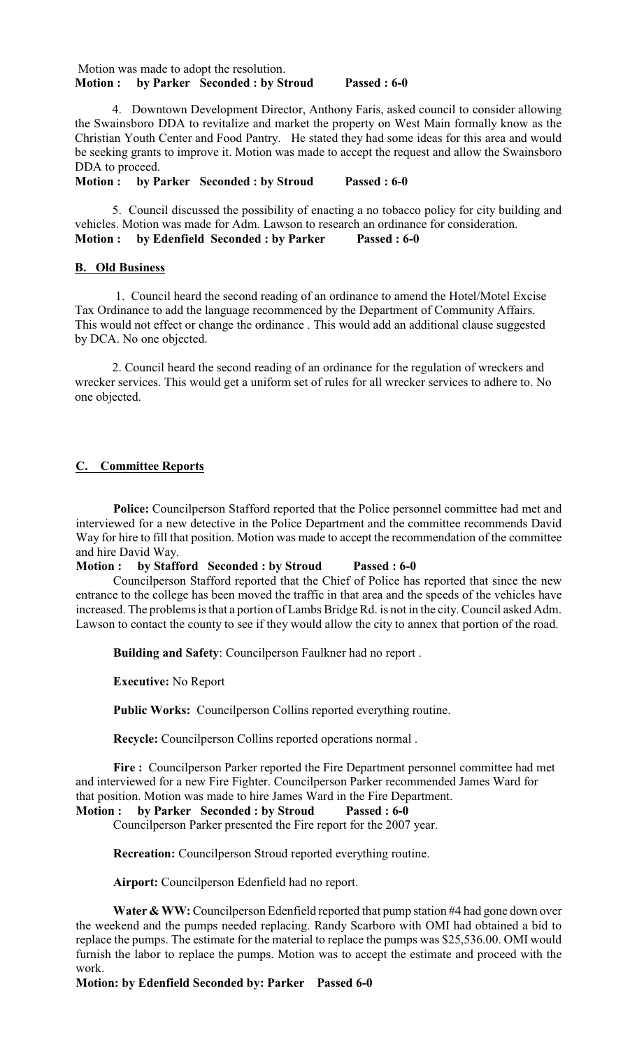#### Motion was made to adopt the resolution. **Motion : by Parker Seconded : by Stroud Passed : 6-0**

4. Downtown Development Director, Anthony Faris, asked council to consider allowing the Swainsboro DDA to revitalize and market the property on West Main formally know as the Christian Youth Center and Food Pantry. He stated they had some ideas for this area and would be seeking grants to improve it. Motion was made to accept the request and allow the Swainsboro DDA to proceed.

**Motion : by Parker Seconded : by Stroud Passed : 6-0**

5. Council discussed the possibility of enacting a no tobacco policy for city building and vehicles. Motion was made for Adm. Lawson to research an ordinance for consideration.<br>Motion: by Edenfield Seconded: by Parker Passed: 6-0 **Motion :** by Edenfield Seconded : by Parker

### **B. Old Business**

 1. Council heard the second reading of an ordinance to amend the Hotel/Motel Excise Tax Ordinance to add the language recommenced by the Department of Community Affairs. This would not effect or change the ordinance . This would add an additional clause suggested by DCA. No one objected.

2. Council heard the second reading of an ordinance for the regulation of wreckers and wrecker services. This would get a uniform set of rules for all wrecker services to adhere to. No one objected.

### **C. Committee Reports**

**Police:** Councilperson Stafford reported that the Police personnel committee had met and interviewed for a new detective in the Police Department and the committee recommends David Way for hire to fill that position. Motion was made to accept the recommendation of the committee and hire David Way.

**Motion : by Stafford Seconded : by Stroud Passed : 6-0**

Councilperson Stafford reported that the Chief of Police has reported that since the new entrance to the college has been moved the traffic in that area and the speeds of the vehicles have increased. The problems is that a portion of Lambs Bridge Rd. is not in the city. Council asked Adm. Lawson to contact the county to see if they would allow the city to annex that portion of the road.

**Building and Safety**: Councilperson Faulkner had no report .

**Executive:** No Report

**Public Works:** Councilperson Collins reported everything routine.

**Recycle:** Councilperson Collins reported operations normal .

**Fire :** Councilperson Parker reported the Fire Department personnel committee had met and interviewed for a new Fire Fighter. Councilperson Parker recommended James Ward for that position. Motion was made to hire James Ward in the Fire Department.

# **Motion : by Parker Seconded : by Stroud Passed : 6-0**

Councilperson Parker presented the Fire report for the 2007 year.

**Recreation:** Councilperson Stroud reported everything routine.

**Airport:** Councilperson Edenfield had no report.

**Water & WW:** Councilperson Edenfield reported that pump station #4 had gone down over the weekend and the pumps needed replacing. Randy Scarboro with OMI had obtained a bid to replace the pumps. The estimate for the material to replace the pumps was \$25,536.00. OMI would furnish the labor to replace the pumps. Motion was to accept the estimate and proceed with the work.

**Motion: by Edenfield Seconded by: Parker Passed 6-0**